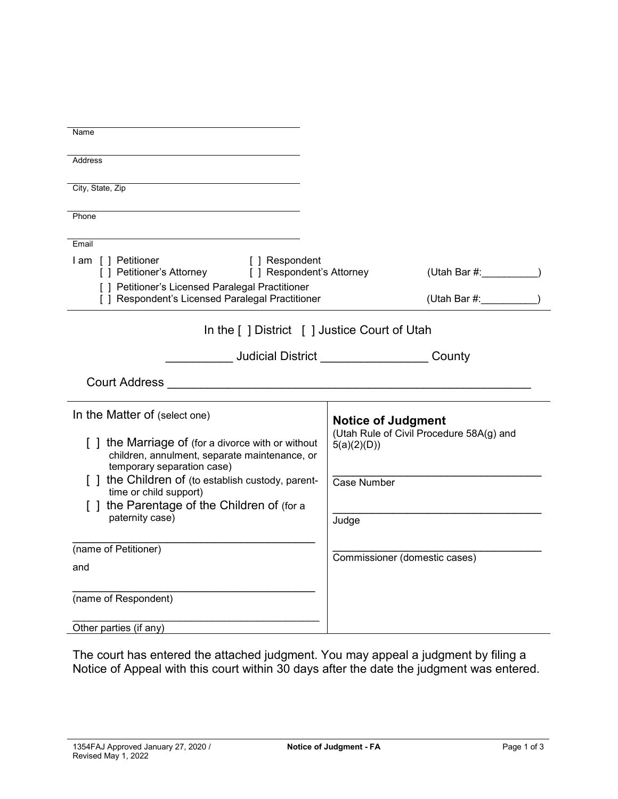| Name                                                                                                 |                                                         |  |  |  |
|------------------------------------------------------------------------------------------------------|---------------------------------------------------------|--|--|--|
|                                                                                                      |                                                         |  |  |  |
| <b>Address</b>                                                                                       |                                                         |  |  |  |
| City, State, Zip                                                                                     |                                                         |  |  |  |
|                                                                                                      |                                                         |  |  |  |
| Phone                                                                                                |                                                         |  |  |  |
| Email                                                                                                |                                                         |  |  |  |
| I am [] Petitioner<br>[ ] Respondent<br>[ ] Petitioner's Attorney [ ] Respondent's Attorney          | (Utah Bar #:                                            |  |  |  |
| [ ] Petitioner's Licensed Paralegal Practitioner<br>[ ] Respondent's Licensed Paralegal Practitioner | (Utah Bar #:                                            |  |  |  |
|                                                                                                      |                                                         |  |  |  |
| In the [ ] District [ ] Justice Court of Utah                                                        |                                                         |  |  |  |
|                                                                                                      | Judicial District <b>County</b>                         |  |  |  |
| Court Address <b>Count Address</b>                                                                   |                                                         |  |  |  |
| In the Matter of (select one)                                                                        | <b>Notice of Judgment</b>                               |  |  |  |
| [] the Marriage of (for a divorce with or without<br>children, annulment, separate maintenance, or   | (Utah Rule of Civil Procedure 58A(g) and<br>5(a)(2)(D)) |  |  |  |
| temporary separation case)<br>[] the Children of (to establish custody, parent-                      | <b>Case Number</b>                                      |  |  |  |
| time or child support)                                                                               |                                                         |  |  |  |
| [] the Parentage of the Children of (for a<br>paternity case)                                        | Judge                                                   |  |  |  |
|                                                                                                      |                                                         |  |  |  |
| (name of Petitioner)                                                                                 | Commissioner (domestic cases)                           |  |  |  |
| and                                                                                                  |                                                         |  |  |  |
|                                                                                                      |                                                         |  |  |  |
| (name of Respondent)                                                                                 |                                                         |  |  |  |
| Other parties (if any)                                                                               |                                                         |  |  |  |

The court has entered the attached judgment. You may appeal a judgment by filing a Notice of Appeal with this court within 30 days after the date the judgment was entered.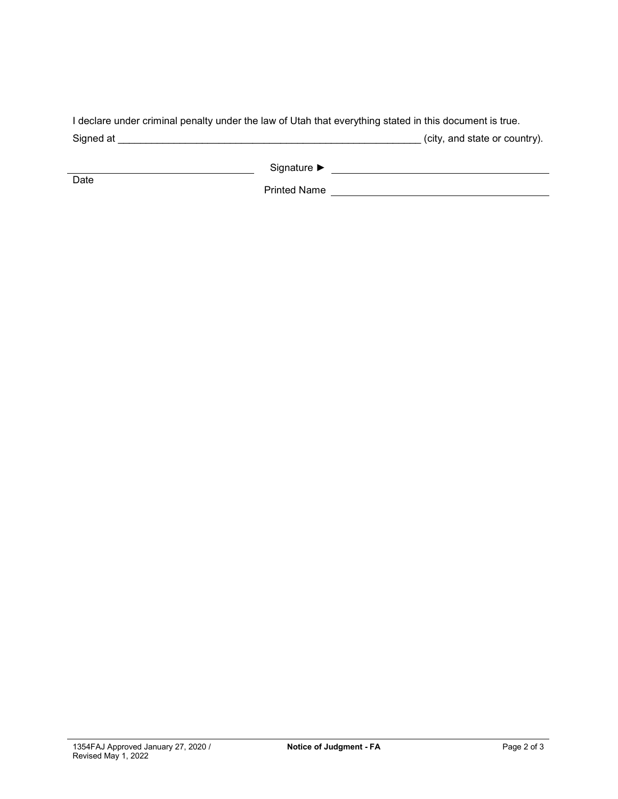| I declare under criminal penalty under the law of Utah that everything stated in this document is true. |                               |
|---------------------------------------------------------------------------------------------------------|-------------------------------|
| Signed at                                                                                               | (city, and state or country). |

| Signature ▶ |  |
|-------------|--|
|-------------|--|

Date

Printed Name